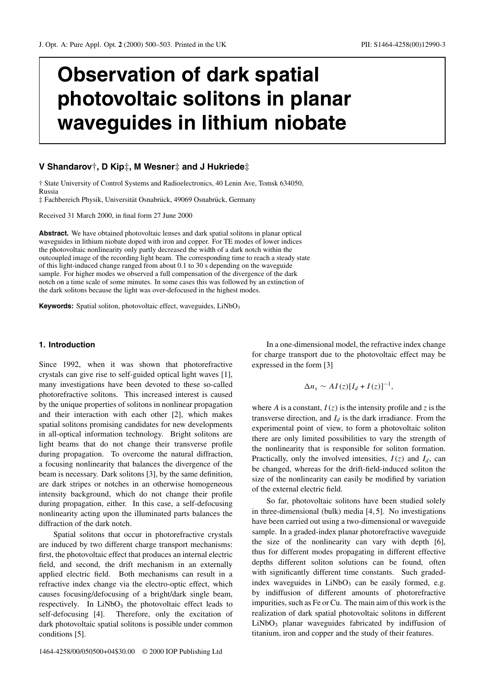# **Observation of dark spatial photovoltaic solitons in planar waveguides in lithium niobate**

# **V Shandarov**†**, D Kip**‡**, M Wesner**‡ **and J Hukriede**‡

† State University of Control Systems and Radioelectronics, 40 Lenin Ave, Tomsk 634050, Russia

 $\ddagger$  Fachbereich Physik, Universität Osnabrück, 49069 Osnabrück, Germany

Received 31 March 2000, in final form 27 June 2000

**Abstract.** We have obtained photovoltaic lenses and dark spatial solitons in planar optical waveguides in lithium niobate doped with iron and copper. For TE modes of lower indices the photovoltaic nonlinearity only partly decreased the width of a dark notch within the outcoupled image of the recording light beam. The corresponding time to reach a steady state of this light-induced change ranged from about 0.1 to 30 s depending on the waveguide sample. For higher modes we observed a full compensation of the divergence of the dark notch on a time scale of some minutes. In some cases this was followed by an extinction of the dark solitons because the light was over-defocused in the highest modes.

Keywords: Spatial soliton, photovoltaic effect, waveguides, LiNbO<sub>3</sub>

## **1. Introduction**

Since 1992, when it was shown that photorefractive crystals can give rise to self-guided optical light waves [1], many investigations have been devoted to these so-called photorefractive solitons. This increased interest is caused by the unique properties of solitons in nonlinear propagation and their interaction with each other [2], which makes spatial solitons promising candidates for new developments in all-optical information technology. Bright solitons are light beams that do not change their transverse profile during propagation. To overcome the natural diffraction, a focusing nonlinearity that balances the divergence of the beam is necessary. Dark solitons [3], by the same definition, are dark stripes or notches in an otherwise homogeneous intensity background, which do not change their profile during propagation, either. In this case, a self-defocusing nonlinearity acting upon the illuminated parts balances the diffraction of the dark notch.

Spatial solitons that occur in photorefractive crystals are induced by two different charge transport mechanisms: first, the photovoltaic effect that produces an internal electric field, and second, the drift mechanism in an externally applied electric field. Both mechanisms can result in a refractive index change via the electro-optic effect, which causes focusing/defocusing of a bright/dark single beam, respectively. In  $LiNbO<sub>3</sub>$  the photovoltaic effect leads to self-defocusing [4]. Therefore, only the excitation of dark photovoltaic spatial solitons is possible under common conditions [5].

In a one-dimensional model, the refractive index change for charge transport due to the photovoltaic effect may be expressed in the form [3]

$$
\Delta n_s \sim A I(z) [I_d + I(z)]^{-1},
$$

where A is a constant,  $I(z)$  is the intensity profile and z is the transverse direction, and  $I_d$  is the dark irradiance. From the experimental point of view, to form a photovoltaic soliton there are only limited possibilities to vary the strength of the nonlinearity that is responsible for soliton formation. Practically, only the involved intensities,  $I(z)$  and  $I<sub>d</sub>$ , can be changed, whereas for the drift-field-induced soliton the size of the nonlinearity can easily be modified by variation of the external electric field.

So far, photovoltaic solitons have been studied solely in three-dimensional (bulk) media [4, 5]. No investigations have been carried out using a two-dimensional or waveguide sample. In a graded-index planar photorefractive waveguide the size of the nonlinearity can vary with depth [6], thus for different modes propagating in different effective depths different soliton solutions can be found, often with significantly different time constants. Such gradedindex waveguides in  $LiNbO<sub>3</sub>$  can be easily formed, e.g. by indiffusion of different amounts of photorefractive impurities, such as Fe or Cu. The main aim of this work is the realization of dark spatial photovoltaic solitons in different  $LiNbO<sub>3</sub>$  planar waveguides fabricated by indiffusion of titanium, iron and copper and the study of their features.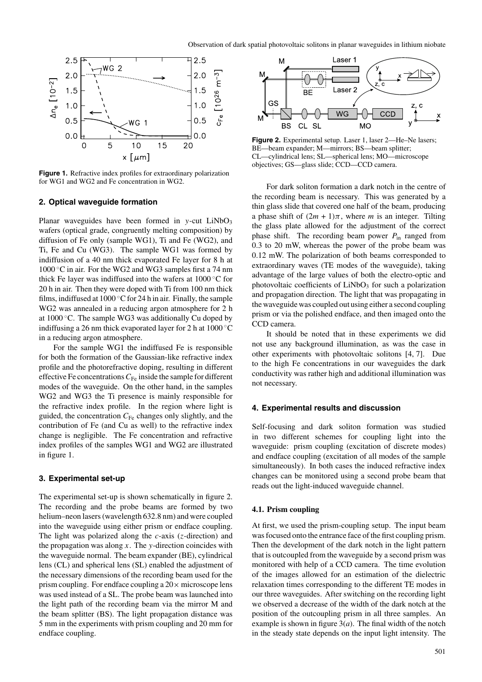

**Figure 1.** Refractive index profiles for extraordinary polarization for WG1 and WG2 and Fe concentration in WG2.

#### **2. Optical waveguide formation**

Planar waveguides have been formed in y-cut  $LiNbO<sub>3</sub>$ wafers (optical grade, congruently melting composition) by diffusion of Fe only (sample WG1), Ti and Fe (WG2), and Ti, Fe and Cu (WG3). The sample WG1 was formed by indiffusion of a 40 nm thick evaporated Fe layer for 8 h at 1000 ◦C in air. For the WG2 and WG3 samples first a 74 nm thick Fe layer was indiffused into the wafers at 1000 ◦C for 20 h in air. Then they were doped with Ti from 100 nm thick films, indiffused at  $1000 °C$  for 24 h in air. Finally, the sample WG2 was annealed in a reducing argon atmosphere for 2 h at 1000 ◦C. The sample WG3 was additionally Cu doped by indiffusing a 26 nm thick evaporated layer for 2 h at  $1000\,^{\circ}$ C in a reducing argon atmosphere.

For the sample WG1 the indiffused Fe is responsible for both the formation of the Gaussian-like refractive index profile and the photorefractive doping, resulting in different effective Fe concentrations  $C_{Fe}$  inside the sample for different modes of the waveguide. On the other hand, in the samples WG2 and WG3 the Ti presence is mainly responsible for the refractive index profile. In the region where light is guided, the concentration  $C_{Fe}$  changes only slightly, and the contribution of Fe (and Cu as well) to the refractive index change is negligible. The Fe concentration and refractive index profiles of the samples WG1 and WG2 are illustrated in figure 1.

#### **3. Experimental set-up**

The experimental set-up is shown schematically in figure 2. The recording and the probe beams are formed by two helium–neon lasers (wavelength 632.8 nm) and were coupled into the waveguide using either prism or endface coupling. The light was polarized along the  $c$ -axis ( $z$ -direction) and the propagation was along  $x$ . The y-direction coincides with the waveguide normal. The beam expander (BE), cylindrical lens (CL) and spherical lens (SL) enabled the adjustment of the necessary dimensions of the recording beam used for the prism coupling. For endface coupling a  $20\times$  microscope lens was used instead of a SL. The probe beam was launched into the light path of the recording beam via the mirror M and the beam splitter (BS). The light propagation distance was 5 mm in the experiments with prism coupling and 20 mm for endface coupling.



**Figure 2.** Experimental setup. Laser 1, laser 2—He–Ne lasers; BE—beam expander; M—mirrors; BS—beam splitter; CL—cylindrical lens; SL—spherical lens; MO—microscope objectives; GS—glass slide; CCD—CCD camera.

For dark soliton formation a dark notch in the centre of the recording beam is necessary. This was generated by a thin glass slide that covered one half of the beam, producing a phase shift of  $(2m + 1)\pi$ , where m is an integer. Tilting the glass plate allowed for the adjustment of the correct phase shift. The recording beam power  $P_{\text{in}}$  ranged from 0.3 to 20 mW, whereas the power of the probe beam was 0.12 mW. The polarization of both beams corresponded to extraordinary waves (TE modes of the waveguide), taking advantage of the large values of both the electro-optic and photovoltaic coefficients of  $LiNbO<sub>3</sub>$  for such a polarization and propagation direction. The light that was propagating in the waveguide was coupled out using either a second coupling prism or via the polished endface, and then imaged onto the CCD camera.

It should be noted that in these experiments we did not use any background illumination, as was the case in other experiments with photovoltaic solitons [4, 7]. Due to the high Fe concentrations in our waveguides the dark conductivity was rather high and additional illumination was not necessary.

#### **4. Experimental results and discussion**

Self-focusing and dark soliton formation was studied in two different schemes for coupling light into the waveguide: prism coupling (excitation of discrete modes) and endface coupling (excitation of all modes of the sample simultaneously). In both cases the induced refractive index changes can be monitored using a second probe beam that reads out the light-induced waveguide channel.

# **4.1. Prism coupling**

At first, we used the prism-coupling setup. The input beam was focused onto the entrance face of the first coupling prism. Then the development of the dark notch in the light pattern that is outcoupled from the waveguide by a second prism was monitored with help of a CCD camera. The time evolution of the images allowed for an estimation of the dielectric relaxation times corresponding to the different TE modes in our three waveguides. After switching on the recording light we observed a decrease of the width of the dark notch at the position of the outcoupling prism in all three samples. An example is shown in figure  $3(a)$ . The final width of the notch in the steady state depends on the input light intensity. The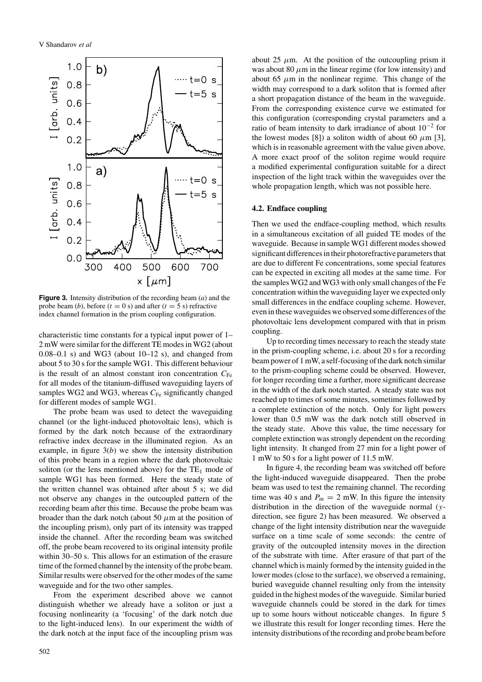

**Figure 3.** Intensity distribution of the recording beam (*a*) and the probe beam (*b*), before ( $t = 0$  s) and after ( $t = 5$  s) refractive index channel formation in the prism coupling configuration.

characteristic time constants for a typical input power of 1– 2 mW were similar for the different TE modes in WG2 (about  $0.08-0.1$  s) and WG3 (about  $10-12$  s), and changed from about 5 to 30 s for the sample WG1. This different behaviour is the result of an almost constant iron concentration  $C_{\text{Fe}}$ for all modes of the titanium-diffused waveguiding layers of samples WG2 and WG3, whereas  $C_{Fe}$  significantly changed for different modes of sample WG1.

The probe beam was used to detect the waveguiding channel (or the light-induced photovoltaic lens), which is formed by the dark notch because of the extraordinary refractive index decrease in the illuminated region. As an example, in figure 3(*b*) we show the intensity distribution of this probe beam in a region where the dark photovoltaic soliton (or the lens mentioned above) for the  $TE_1$  mode of sample WG1 has been formed. Here the steady state of the written channel was obtained after about 5 s; we did not observe any changes in the outcoupled pattern of the recording beam after this time. Because the probe beam was broader than the dark notch (about 50  $\mu$ m at the position of the incoupling prism), only part of its intensity was trapped inside the channel. After the recording beam was switched off, the probe beam recovered to its original intensity profile within 30–50 s. This allows for an estimation of the erasure time of the formed channel by the intensity of the probe beam. Similar results were observed for the other modes of the same waveguide and for the two other samples.

From the experiment described above we cannot distinguish whether we already have a soliton or just a focusing nonlinearity (a 'focusing' of the dark notch due to the light-induced lens). In our experiment the width of the dark notch at the input face of the incoupling prism was

about 25  $\mu$ m. At the position of the outcoupling prism it was about 80  $\mu$ m in the linear regime (for low intensity) and about 65  $\mu$ m in the nonlinear regime. This change of the width may correspond to a dark soliton that is formed after a short propagation distance of the beam in the waveguide. From the corresponding existence curve we estimated for this configuration (corresponding crystal parameters and a ratio of beam intensity to dark irradiance of about  $10^{-2}$  for the lowest modes [8]) a soliton width of about 60  $\mu$ m [3], which is in reasonable agreement with the value given above. A more exact proof of the soliton regime would require a modified experimental configuration suitable for a direct inspection of the light track within the waveguides over the whole propagation length, which was not possible here.

# **4.2. Endface coupling**

Then we used the endface-coupling method, which results in a simultaneous excitation of all guided TE modes of the waveguide. Because in sample WG1 different modes showed significant differences in their photorefractive parameters that are due to different Fe concentrations, some special features can be expected in exciting all modes at the same time. For the samples WG2 and WG3 with only small changes of the Fe concentration within the waveguiding layer we expected only small differences in the endface coupling scheme. However, even in these waveguides we observed some differences of the photovoltaic lens development compared with that in prism coupling.

Up to recording times necessary to reach the steady state in the prism-coupling scheme, i.e. about 20 s for a recording beam power of 1 mW, a self-focusing of the dark notch similar to the prism-coupling scheme could be observed. However, for longer recording time a further, more significant decrease in the width of the dark notch started. A steady state was not reached up to times of some minutes, sometimes followed by a complete extinction of the notch. Only for light powers lower than 0.5 mW was the dark notch still observed in the steady state. Above this value, the time necessary for complete extinction was strongly dependent on the recording light intensity. It changed from 27 min for a light power of 1 mW to 50 s for a light power of 11.5 mW.

In figure 4, the recording beam was switched off before the light-induced waveguide disappeared. Then the probe beam was used to test the remaining channel. The recording time was 40 s and  $P_{\text{in}} = 2$  mW. In this figure the intensity distribution in the direction of the waveguide normal (ydirection, see figure 2) has been measured. We observed a change of the light intensity distribution near the waveguide surface on a time scale of some seconds: the centre of gravity of the outcoupled intensity moves in the direction of the substrate with time. After erasure of that part of the channel which is mainly formed by the intensity guided in the lower modes (close to the surface), we observed a remaining, buried waveguide channel resulting only from the intensity guided in the highest modes of the waveguide. Similar buried waveguide channels could be stored in the dark for times up to some hours without noticeable changes. In figure 5 we illustrate this result for longer recording times. Here the intensity distributions of the recording and probe beam before